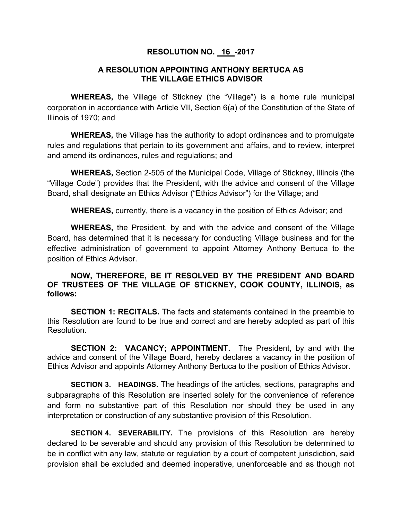## **RESOLUTION NO. 16 -2017**

## **A RESOLUTION APPOINTING ANTHONY BERTUCA AS THE VILLAGE ETHICS ADVISOR**

**WHEREAS,** the Village of Stickney (the "Village") is a home rule municipal corporation in accordance with Article VII, Section 6(a) of the Constitution of the State of Illinois of 1970; and

**WHEREAS,** the Village has the authority to adopt ordinances and to promulgate rules and regulations that pertain to its government and affairs, and to review, interpret and amend its ordinances, rules and regulations; and

**WHEREAS,** Section 2-505 of the Municipal Code, Village of Stickney, Illinois (the "Village Code") provides that the President, with the advice and consent of the Village Board, shall designate an Ethics Advisor ("Ethics Advisor") for the Village; and

**WHEREAS,** currently, there is a vacancy in the position of Ethics Advisor; and

**WHEREAS,** the President, by and with the advice and consent of the Village Board, has determined that it is necessary for conducting Village business and for the effective administration of government to appoint Attorney Anthony Bertuca to the position of Ethics Advisor.

## **NOW, THEREFORE, BE IT RESOLVED BY THE PRESIDENT AND BOARD OF TRUSTEES OF THE VILLAGE OF STICKNEY, COOK COUNTY, ILLINOIS, as follows:**

**SECTION 1: RECITALS.** The facts and statements contained in the preamble to this Resolution are found to be true and correct and are hereby adopted as part of this Resolution.

**SECTION 2: VACANCY; APPOINTMENT.** The President, by and with the advice and consent of the Village Board, hereby declares a vacancy in the position of Ethics Advisor and appoints Attorney Anthony Bertuca to the position of Ethics Advisor.

**SECTION 3. HEADINGS.** The headings of the articles, sections, paragraphs and subparagraphs of this Resolution are inserted solely for the convenience of reference and form no substantive part of this Resolution nor should they be used in any interpretation or construction of any substantive provision of this Resolution.

**SECTION 4. SEVERABILITY.** The provisions of this Resolution are hereby declared to be severable and should any provision of this Resolution be determined to be in conflict with any law, statute or regulation by a court of competent jurisdiction, said provision shall be excluded and deemed inoperative, unenforceable and as though not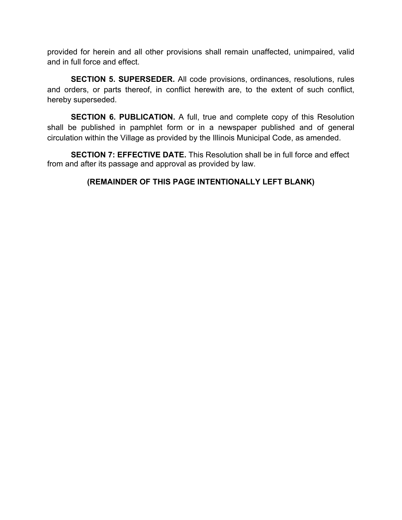provided for herein and all other provisions shall remain unaffected, unimpaired, valid and in full force and effect.

**SECTION 5. SUPERSEDER.** All code provisions, ordinances, resolutions, rules and orders, or parts thereof, in conflict herewith are, to the extent of such conflict, hereby superseded.

**SECTION 6. PUBLICATION.** A full, true and complete copy of this Resolution shall be published in pamphlet form or in a newspaper published and of general circulation within the Village as provided by the Illinois Municipal Code, as amended.

**SECTION 7: EFFECTIVE DATE.** This Resolution shall be in full force and effect from and after its passage and approval as provided by law.

## **(REMAINDER OF THIS PAGE INTENTIONALLY LEFT BLANK)**